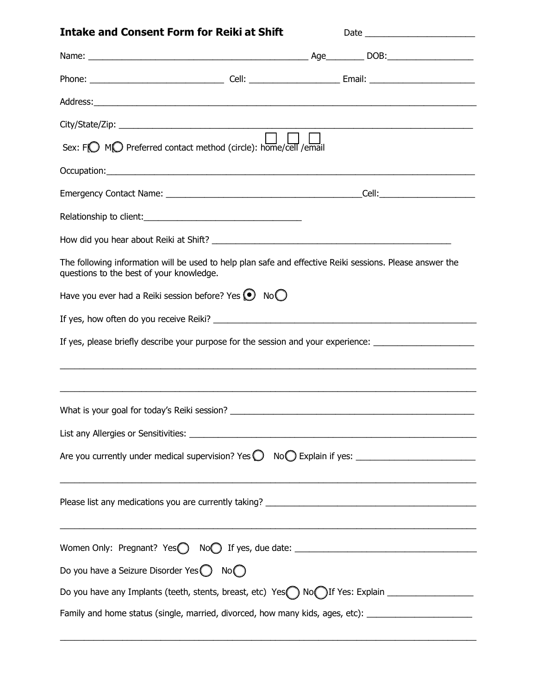| <b>Intake and Consent Form for Reiki at Shift</b>                                                                                                    |                                                             |
|------------------------------------------------------------------------------------------------------------------------------------------------------|-------------------------------------------------------------|
|                                                                                                                                                      |                                                             |
|                                                                                                                                                      |                                                             |
|                                                                                                                                                      |                                                             |
|                                                                                                                                                      |                                                             |
| $\Box$ $\Box$<br>Sex: FO MO Preferred contact method (circle): home/cell / email                                                                     |                                                             |
|                                                                                                                                                      |                                                             |
|                                                                                                                                                      |                                                             |
|                                                                                                                                                      |                                                             |
|                                                                                                                                                      |                                                             |
| The following information will be used to help plan safe and effective Reiki sessions. Please answer the<br>questions to the best of your knowledge. |                                                             |
| Have you ever had a Reiki session before? Yes $\bigcirc$ No $\bigcirc$                                                                               |                                                             |
|                                                                                                                                                      |                                                             |
| If yes, please briefly describe your purpose for the session and your experience: ____________________________                                       |                                                             |
|                                                                                                                                                      |                                                             |
|                                                                                                                                                      |                                                             |
|                                                                                                                                                      |                                                             |
|                                                                                                                                                      |                                                             |
|                                                                                                                                                      |                                                             |
|                                                                                                                                                      | <u> 1989 - Johann Stoff, amerikansk politiker (d. 1989)</u> |
| Do you have a Seizure Disorder Yes $\bigcirc$ No $\bigcirc$                                                                                          |                                                             |
| Do you have any Implants (teeth, stents, breast, etc) Yes  Subsety No if Yes: Explain                                                                |                                                             |
| Family and home status (single, married, divorced, how many kids, ages, etc): ______________________                                                 |                                                             |

 $\_$  ,  $\_$  ,  $\_$  ,  $\_$  ,  $\_$  ,  $\_$  ,  $\_$  ,  $\_$  ,  $\_$  ,  $\_$  ,  $\_$  ,  $\_$  ,  $\_$  ,  $\_$  ,  $\_$  ,  $\_$  ,  $\_$  ,  $\_$  ,  $\_$  ,  $\_$  ,  $\_$  ,  $\_$  ,  $\_$  ,  $\_$  ,  $\_$  ,  $\_$  ,  $\_$  ,  $\_$  ,  $\_$  ,  $\_$  ,  $\_$  ,  $\_$  ,  $\_$  ,  $\_$  ,  $\_$  ,  $\_$  ,  $\_$  ,